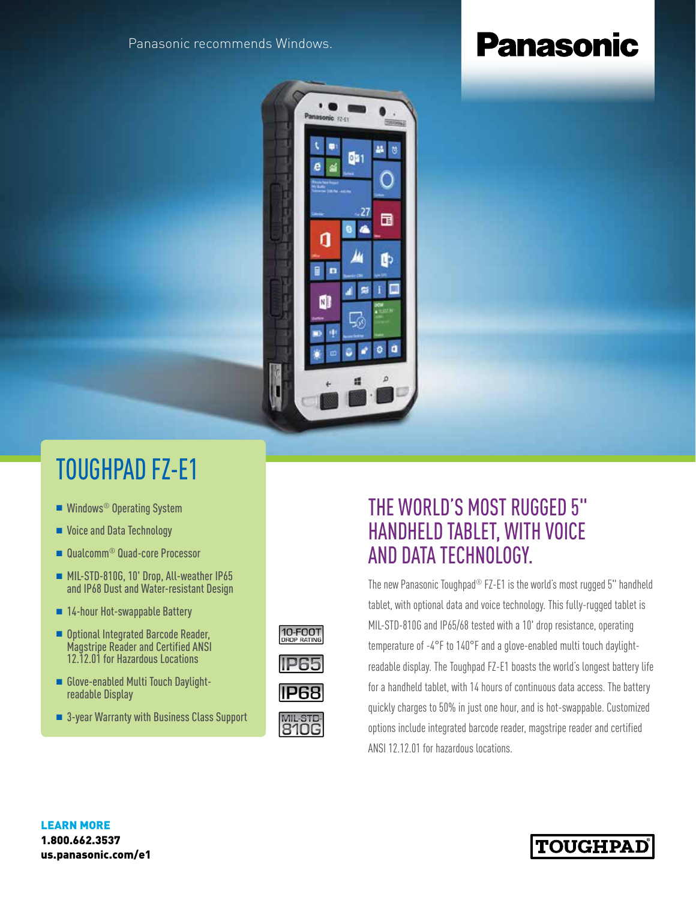Panasonic recommends Windows.

# **Panasonic**



### TOUGHPAD FZ-E1

- $\blacksquare$  Windows<sup>®</sup> Operating System
- Voice and Data Technology
- Qualcomm<sup>®</sup> Quad-core Processor
- <sup>n</sup> MIL-STD-810G, 10' Drop, All-weather IP65 and IP68 Dust and Water-resistant Design
- 14-hour Hot-swappable Battery
- Optional Integrated Barcode Reader, Magstripe Reader and Certified ANSI 12.12.01 for Hazardous Locations
- n Glove-enabled Multi Touch Daylightreadable Display
- 3-year Warranty with Business Class Support

## 10-FOOT







### THE WORLD'S MOST RUGGED 5" HANDHELD TABLET, WITH VOICE AND DATA TECHNOLOGY.

The new Panasonic Toughpad® FZ-E1 is the world's most rugged 5" handheld tablet, with optional data and voice technology. This fully-rugged tablet is MIL-STD-810G and IP65/68 tested with a 10' drop resistance, operating temperature of -4°F to 140°F and a glove-enabled multi touch daylightreadable display. The Toughpad FZ-E1 boasts the world's longest battery life for a handheld tablet, with 14 hours of continuous data access. The battery quickly charges to 50% in just one hour, and is hot-swappable. Customized options include integrated barcode reader, magstripe reader and certified ANSI 12.12.01 for hazardous locations.

LEARN MORE 1.800.662.3537 us.panasonic.com/e1